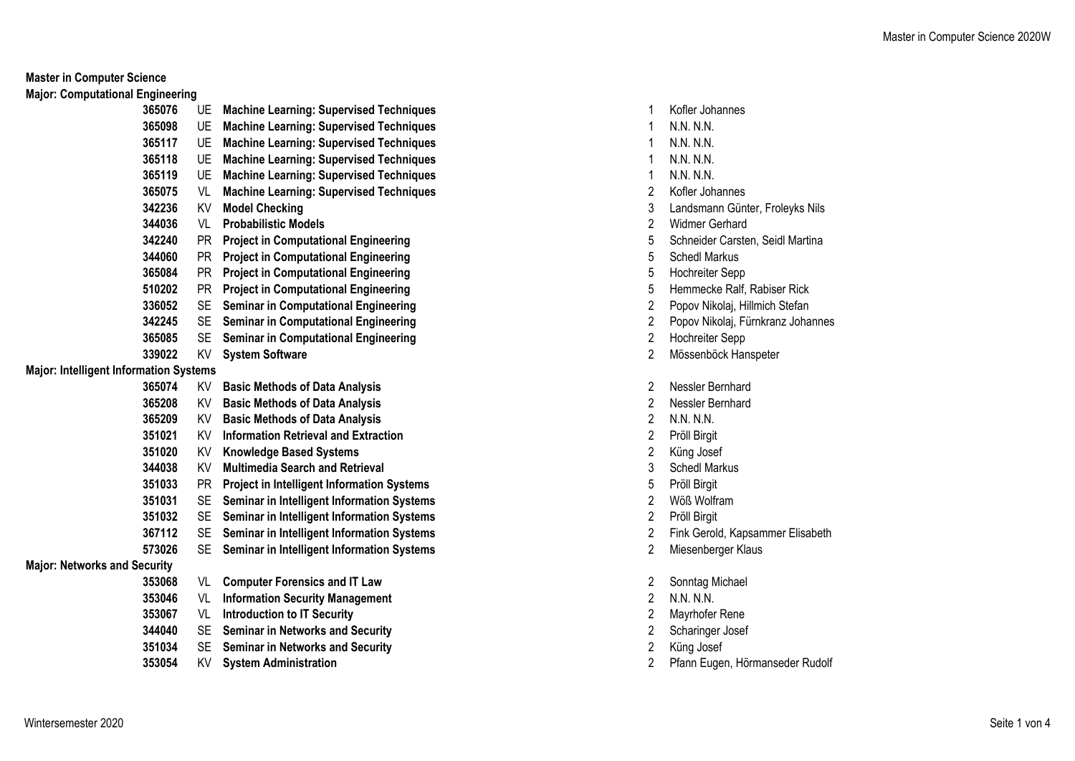**Master in Computer Science**

**Major: Computational Engineering**

| 365076                                        | UE.       | <b>Machine Learning: Supervised Techniques</b>    | 1                       | Kofler Joha        |
|-----------------------------------------------|-----------|---------------------------------------------------|-------------------------|--------------------|
| 365098                                        | UE        | <b>Machine Learning: Supervised Techniques</b>    | 1                       | N.N. N.N.          |
| 365117                                        | UE.       | <b>Machine Learning: Supervised Techniques</b>    | 1                       | N.N. N.N.          |
| 365118                                        | UE.       | <b>Machine Learning: Supervised Techniques</b>    | 1                       | N.N. N.N.          |
| 365119                                        | UE        | <b>Machine Learning: Supervised Techniques</b>    | 1                       | N.N. N.N.          |
| 365075                                        | VL        | <b>Machine Learning: Supervised Techniques</b>    | 2                       | Kofler Joha        |
| 342236                                        | KV        | <b>Model Checking</b>                             | 3                       | Landsmanr          |
| 344036                                        | VL        | <b>Probabilistic Models</b>                       | $\overline{2}$          | Widmer Ge          |
| 342240                                        | <b>PR</b> | <b>Project in Computational Engineering</b>       | 5                       | Schneider          |
| 344060                                        | PR.       | <b>Project in Computational Engineering</b>       | 5                       | Schedl Mar         |
| 365084                                        | PR.       | <b>Project in Computational Engineering</b>       | 5                       | Hochreiter         |
| 510202                                        | <b>PR</b> | <b>Project in Computational Engineering</b>       | 5                       | Hemmecke           |
| 336052                                        | SE        | <b>Seminar in Computational Engineering</b>       | 2                       | Popov Niko         |
| 342245                                        | SE.       | <b>Seminar in Computational Engineering</b>       | 2                       | Popov Niko         |
| 365085                                        | SE.       | <b>Seminar in Computational Engineering</b>       | 2                       | Hochreiter         |
| 339022                                        | KV        | <b>System Software</b>                            | $\overline{2}$          | Mössenböd          |
| <b>Major: Intelligent Information Systems</b> |           |                                                   |                         |                    |
| 365074                                        | KV.       | <b>Basic Methods of Data Analysis</b>             | $\overline{2}$          | Nessler Be         |
| 365208                                        | KV        | <b>Basic Methods of Data Analysis</b>             | $\overline{2}$          | Nessler Be         |
| 365209                                        |           | KV Basic Methods of Data Analysis                 | $\overline{2}$          | N.N. N.N.          |
| 351021                                        | KV l      | <b>Information Retrieval and Extraction</b>       | 2                       | Pröll Birgit       |
| 351020                                        | KV        | <b>Knowledge Based Systems</b>                    | $\overline{2}$          | Küng Josef         |
| 344038                                        | KV        | <b>Multimedia Search and Retrieval</b>            | 3                       | Schedl Mar         |
| 351033                                        | PR.       | <b>Project in Intelligent Information Systems</b> | 5                       | Pröll Birgit       |
| 351031                                        | SE.       | Seminar in Intelligent Information Systems        | 2                       | Wöß Wolfra         |
| 351032                                        | SE.       | Seminar in Intelligent Information Systems        | 2                       | Pröll Birgit       |
| 367112                                        | SE        | Seminar in Intelligent Information Systems        | 2                       | <b>Fink Gerold</b> |
| 573026                                        | <b>SE</b> | Seminar in Intelligent Information Systems        | $\overline{2}$          | Miesenberg         |
| <b>Major: Networks and Security</b>           |           |                                                   |                         |                    |
| 353068                                        | VL        | <b>Computer Forensics and IT Law</b>              | 2                       | Sonntag M          |
| 353046                                        | VL        | <b>Information Security Management</b>            | $\overline{2}$          | N.N. N.N.          |
| 353067                                        | VL        | <b>Introduction to IT Security</b>                | $\overline{2}$          | Mayrhofer          |
| 344040                                        | SE.       | <b>Seminar in Networks and Security</b>           | 2                       | Scharinger         |
| 351034                                        | <b>SE</b> | <b>Seminar in Networks and Security</b>           | $\overline{\mathbf{c}}$ | Küng Josef         |
| 353054                                        | KV.       | <b>System Administration</b>                      | $\overline{2}$          | Pfann Euge         |
|                                               |           |                                                   |                         |                    |

- UE **Machine Learning: Supervised Techniques** 1 Kofler Johannes
- 
- 
- 
- 
- VL **Machine Learning: Supervised Techniques** 2 Kofler Johannes
- 3 Landsmann Günter, Froleyks Nils
- 2 Widmer Gerhard
- 5 Schneider Carsten, Seidl Martina
- PR **Project in Computational Engineering** 5 Schedl Markus
- PR **Project in Computational Engineering** 5 Hochreiter Sepp
- Hemmecke Ralf, Rabiser Rick
- SE **Seminar in Computational Engineering** 2 Popov Nikolaj, Hillmich Stefan
- SE **Seminar in Computational Engineering** 2 Popov Nikolaj, Fürnkranz Johannes
- SE **Seminar in Computational Engineering** 2 Hochreiter Sepp
- KV **System Software** 2 Mössenböck Hanspeter
- KV **Basic Methods of Data Analysis** 2 Nessler Bernhard
- KV **Basic Methods of Data Analysis** 2 Nessler Bernhard
- 
- KV **Information Retrieval and Extraction** 2 Pröll Birgit
- 2 Küng Josef
- 3 Schedl Markus
- PR **Project in Intelligent Information Systems** 5 Pröll Birgit
- SE **Seminar in Intelligent Information Systems** 2 Wöß Wolfram
- SE **Seminar in Intelligent Information Systems** 2 Pröll Birgit
- SE **Seminar in Intelligent Information Systems** 2 Fink Gerold, Kapsammer Elisabeth
- SE **Seminar in Intelligent Information Systems** 2 Miesenberger Klaus
- Sonntag Michael
- 
- VL **Introduction to IT Security** 2 Mayrhofer Rene
- 2 Scharinger Josef
- 
- KV **System Administration** 2 Pfann Eugen, Hörmanseder Rudolf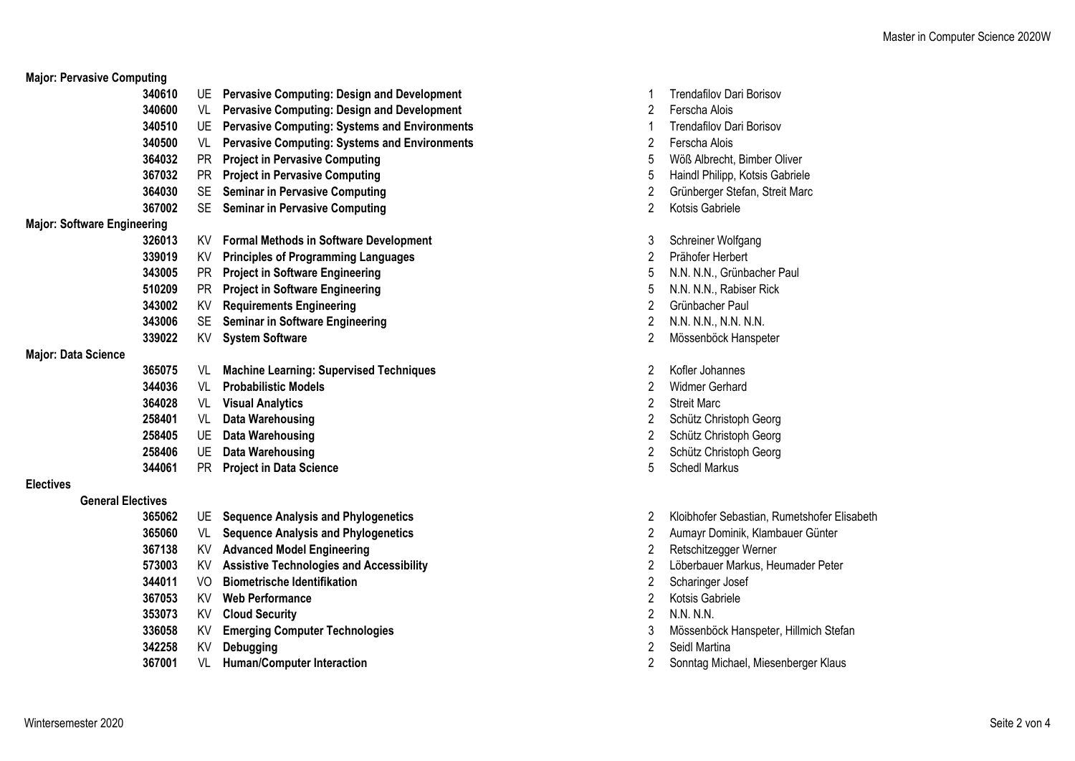| <b>Major: Pervasive Computing</b>  |           |                                                      |                |                                 |
|------------------------------------|-----------|------------------------------------------------------|----------------|---------------------------------|
| 340610                             | UE        | <b>Pervasive Computing: Design and Development</b>   |                | <b>Trendafilov Dari Borisov</b> |
| 340600                             | VL        | <b>Pervasive Computing: Design and Development</b>   | $\overline{2}$ | Ferscha Alois                   |
| 340510                             | UE.       | <b>Pervasive Computing: Systems and Environments</b> | 1              | <b>Trendafilov Dari Borisov</b> |
| 340500                             | VL        | <b>Pervasive Computing: Systems and Environments</b> | 2              | Ferscha Alois                   |
| 364032                             | <b>PR</b> | <b>Project in Pervasive Computing</b>                | 5              | Wöß Albrecht, Bimber Oliver     |
| 367032                             | <b>PR</b> | <b>Project in Pervasive Computing</b>                | 5              | Haindl Philipp, Kotsis Gabriele |
| 364030                             | <b>SE</b> | <b>Seminar in Pervasive Computing</b>                | 2              | Grünberger Stefan, Streit Marc  |
| 367002                             |           | SE Seminar in Pervasive Computing                    | $\overline{2}$ | Kotsis Gabriele                 |
| <b>Major: Software Engineering</b> |           |                                                      |                |                                 |
| 326013                             | KV        | <b>Formal Methods in Software Development</b>        | 3              | Schreiner Wolfgang              |
| 339019                             | KV        | <b>Principles of Programming Languages</b>           | $\overline{c}$ | Prähofer Herbert                |
| 343005                             | <b>PR</b> | <b>Project in Software Engineering</b>               | 5              | N.N. N.N., Grünbacher Paul      |
| 510209                             | <b>PR</b> | <b>Project in Software Engineering</b>               | 5              | N.N. N.N., Rabiser Rick         |
| 343002                             | <b>KV</b> | <b>Requirements Engineering</b>                      | 2              | Grünbacher Paul                 |
| 343006                             | <b>SE</b> | <b>Seminar in Software Engineering</b>               | 2              | N.N. N.N., N.N. N.N.            |
| 339022                             | KV        | <b>System Software</b>                               | $\overline{2}$ | Mössenböck Hanspeter            |
| <b>Major: Data Science</b>         |           |                                                      |                |                                 |
| 365075                             | VL        | <b>Machine Learning: Supervised Techniques</b>       | 2              | Kofler Johannes                 |
| 344036                             | VL        | <b>Probabilistic Models</b>                          | 2              | <b>Widmer Gerhard</b>           |
| 364028                             | VL        | <b>Visual Analytics</b>                              | 2              | <b>Streit Marc</b>              |
| 258401                             | VL        | <b>Data Warehousing</b>                              | 2              | Schütz Christoph Georg          |
| 258405                             | UE        | <b>Data Warehousing</b>                              | $\overline{2}$ | Schütz Christoph Georg          |
| 258406                             | <b>UE</b> | <b>Data Warehousing</b>                              | 2              | Schütz Christoph Georg          |
| 344061                             | <b>PR</b> | <b>Project in Data Science</b>                       | 5              | <b>Schedl Markus</b>            |
| <b>Electives</b>                   |           |                                                      |                |                                 |
| <b>General Electives</b>           |           |                                                      |                |                                 |
| 365062                             |           | UE Sequence Analysis and Phylogenetics               | 2              | Kloibhofer Sebastian, Rumetsh   |
| 365060                             | VL        | <b>Sequence Analysis and Phylogenetics</b>           | 2              | Aumayr Dominik, Klambauer G     |
| 367138                             | KV        | <b>Advanced Model Engineering</b>                    | $\overline{2}$ | Retschitzegger Werner           |
| 573003                             | KV        | <b>Assistive Technologies and Accessibility</b>      | 2              | Löberbauer Markus, Heumade      |
| 344011                             | VO        | <b>Biometrische Identifikation</b>                   | 2              | Scharinger Josef                |
| 367053                             | KV        | <b>Web Performance</b>                               | 2              | Kotsis Gabriele                 |
| 353073                             | KV        | <b>Cloud Security</b>                                | $\overline{2}$ | N.N. N.N.                       |
| 336058                             | KV        | <b>Emerging Computer Technologies</b>                | 3              | Mössenböck Hanspeter, Hillmi    |
| 342258                             | KV        | <b>Debugging</b>                                     | 2              | Seidl Martina                   |
|                                    |           |                                                      |                |                                 |

VL **Human/Computer Interaction** 2 Sonntag Michael, Miesenberger Klaus

| 1              | <b>Trendafilov Dari Borisov</b> |
|----------------|---------------------------------|
| $\overline{2}$ | Ferscha Alois                   |
| $\mathbf{1}$   | Trendafilov Dari Borisov        |
| $\overline{2}$ | Ferscha Alois                   |
| 5              | Wöß Albrecht, Bimber Oliver     |
| 5              | Haindl Philipp, Kotsis Gabriel  |
| $\overline{c}$ | Grünberger Stefan, Streit Ma    |
| $\overline{2}$ | Kotsis Gabriele                 |
| 3              | Schreiner Wolfgang              |
| $\overline{2}$ | Prähofer Herbert                |
| 5              | N.N. N.N., Grünbacher Paul      |
| 5              | N.N. N.N., Rabiser Rick         |
| $\sqrt{2}$     | Grünbacher Paul                 |
| $\overline{2}$ | N.N. N.N., N.N. N.N.            |
| $\overline{2}$ | Mössenböck Hanspeter            |
| $\overline{c}$ | Kofler Johannes                 |
| $\overline{c}$ | Widmer Gerhard                  |
| $\overline{c}$ | <b>Streit Marc</b>              |
| $\overline{2}$ | Schütz Christoph Georg          |
| $\overline{2}$ | Schütz Christoph Georg          |
| $\overline{2}$ | Schütz Christoph Georg          |
| 5              | <b>Schedl Markus</b>            |
|                |                                 |

- UE **Sequence Analysis and Phylogenetics** 2 Kloibhofer Sebastian, Rumetshofer Elisabeth
- VL **Sequence Analysis and Phylogenetics** 2 Aumayr Dominik, Klambauer Günter
- KV **Advanced Model Engineering** 2 Retschitzegger Werner
- KV **Assistive Technologies and Accessibility** 2 Löberbauer Markus, Heumader Peter
- 2 Scharinger Josef
- 2 Kotsis Gabriele
- KV **Cloud Security** 2 N.N. N.N.
- KV **Emerging Computer Technologies** 3 Mössenböck Hanspeter, Hillmich Stefan
- 2 Seidl Martina
-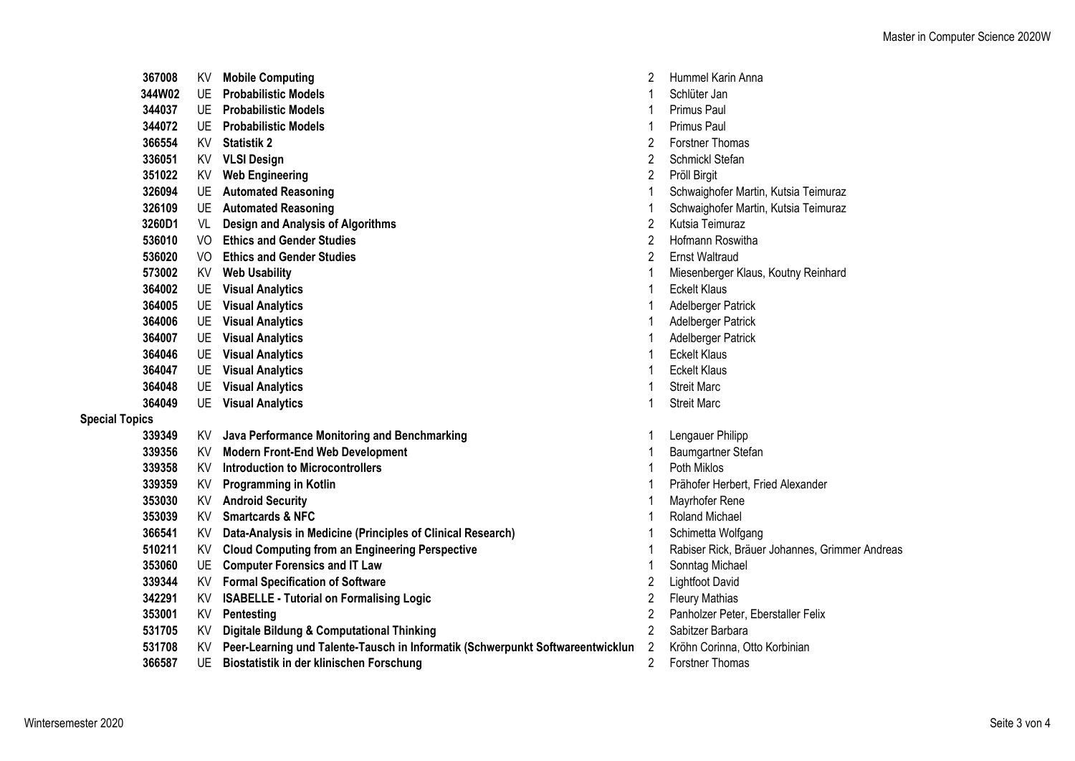|                       | 367008 | KV.  | <b>Mobile Computing</b>                                                        | 2              | Hummel Karin Anna                              |
|-----------------------|--------|------|--------------------------------------------------------------------------------|----------------|------------------------------------------------|
|                       | 344W02 | UE   | <b>Probabilistic Models</b>                                                    |                | Schlüter Jan                                   |
|                       | 344037 | UE   | <b>Probabilistic Models</b>                                                    |                | Primus Paul                                    |
|                       | 344072 |      | <b>UE</b> Probabilistic Models                                                 |                | Primus Paul                                    |
|                       | 366554 | KV   | <b>Statistik 2</b>                                                             | 2              | <b>Forstner Thomas</b>                         |
|                       | 336051 | KV   | <b>VLSI Design</b>                                                             | 2              | Schmickl Stefan                                |
|                       | 351022 | KV   | <b>Web Engineering</b>                                                         | 2              | Pröll Birgit                                   |
|                       | 326094 |      | UE Automated Reasoning                                                         |                | Schwaighofer Martin, Kutsia Teimuraz           |
|                       | 326109 |      | UE Automated Reasoning                                                         |                | Schwaighofer Martin, Kutsia Teimuraz           |
|                       | 3260D1 | VL   | <b>Design and Analysis of Algorithms</b>                                       | $\overline{2}$ | Kutsia Teimuraz                                |
|                       | 536010 | VO.  | <b>Ethics and Gender Studies</b>                                               | 2              | Hofmann Roswitha                               |
|                       | 536020 | VO l | <b>Ethics and Gender Studies</b>                                               | 2              | <b>Ernst Waltraud</b>                          |
|                       | 573002 | KV I | <b>Web Usability</b>                                                           |                | Miesenberger Klaus, Koutny Reinhard            |
|                       | 364002 |      | <b>UE</b> Visual Analytics                                                     |                | <b>Eckelt Klaus</b>                            |
|                       | 364005 |      | <b>UE</b> Visual Analytics                                                     |                | Adelberger Patrick                             |
|                       | 364006 |      | <b>UE</b> Visual Analytics                                                     |                | Adelberger Patrick                             |
|                       | 364007 |      | <b>UE</b> Visual Analytics                                                     |                | Adelberger Patrick                             |
|                       | 364046 | UE   | <b>Visual Analytics</b>                                                        |                | <b>Eckelt Klaus</b>                            |
|                       | 364047 |      | <b>UE</b> Visual Analytics                                                     |                | <b>Eckelt Klaus</b>                            |
|                       | 364048 | UE   | <b>Visual Analytics</b>                                                        |                | <b>Streit Marc</b>                             |
|                       | 364049 |      | <b>UE</b> Visual Analytics                                                     |                | <b>Streit Marc</b>                             |
| <b>Special Topics</b> |        |      |                                                                                |                |                                                |
|                       | 339349 | KV l | Java Performance Monitoring and Benchmarking                                   |                | Lengauer Philipp                               |
|                       | 339356 | KV.  | <b>Modern Front-End Web Development</b>                                        |                | Baumgartner Stefan                             |
|                       | 339358 | KV.  | <b>Introduction to Microcontrollers</b>                                        |                | Poth Miklos                                    |
|                       | 339359 | KV   | <b>Programming in Kotlin</b>                                                   |                | Prähofer Herbert, Fried Alexander              |
|                       | 353030 | KV   | <b>Android Security</b>                                                        |                | Mayrhofer Rene                                 |
|                       | 353039 | KV l | <b>Smartcards &amp; NFC</b>                                                    |                | <b>Roland Michael</b>                          |
|                       | 366541 | KV   | Data-Analysis in Medicine (Principles of Clinical Research)                    |                | Schimetta Wolfgang                             |
|                       | 510211 | KV l | <b>Cloud Computing from an Engineering Perspective</b>                         |                | Rabiser Rick, Bräuer Johannes, Grimmer Andreas |
|                       | 353060 |      | UE Computer Forensics and IT Law                                               |                | Sonntag Michael                                |
|                       | 339344 |      | KV Formal Specification of Software                                            | 2              | <b>Lightfoot David</b>                         |
|                       | 342291 | KV   | <b>ISABELLE - Tutorial on Formalising Logic</b>                                | 2              | <b>Fleury Mathias</b>                          |
|                       | 353001 | KV   | Pentesting                                                                     | 2              | Panholzer Peter, Eberstaller Felix             |
|                       | 531705 | KV.  | <b>Digitale Bildung &amp; Computational Thinking</b>                           | $\overline{2}$ | Sabitzer Barbara                               |
|                       | 531708 |      | Peer-Learning und Talente-Tausch in Informatik (Schwerpunkt Softwareentwicklun | 2              | Kröhn Corinna, Otto Korbinian                  |
|                       |        |      |                                                                                |                |                                                |

UE **Biostatistik in der klinischen Forschung** 2 Forstner Thomas